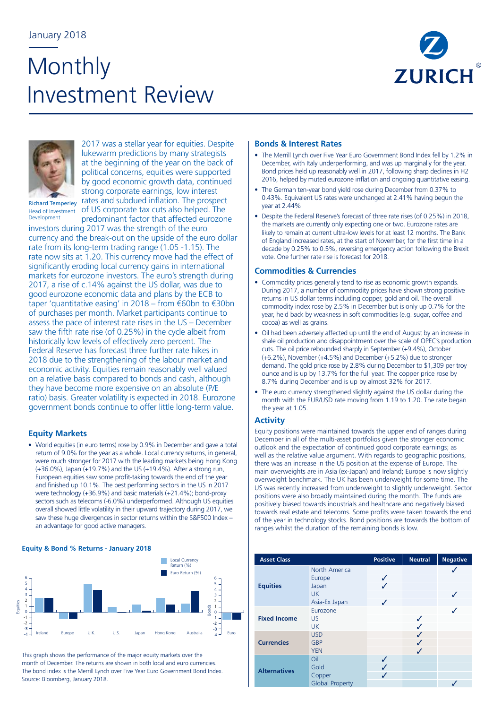## January 2018

# **Monthly** Investment Review





2017 was a stellar year for equities. Despite lukewarm predictions by many strategists at the beginning of the year on the back of political concerns, equities were supported by good economic growth data, continued strong corporate earnings, low interest rates and subdued inflation. The prospect Head of Investment of US corporate tax cuts also helped. The

predominant factor that affected eurozone

Richard Temperley Development

investors during 2017 was the strength of the euro currency and the break-out on the upside of the euro dollar rate from its long-term trading range (1.05 -1.15). The rate now sits at 1.20. This currency move had the effect of significantly eroding local currency gains in international markets for eurozone investors. The euro's strength during 2017, a rise of c.14% against the US dollar, was due to good eurozone economic data and plans by the ECB to taper 'quantitative easing' in 2018 – from €60bn to €30bn of purchases per month. Market participants continue to assess the pace of interest rate rises in the US – December saw the fifth rate rise (of 0.25%) in the cycle albeit from historically low levels of effectively zero percent. The Federal Reserve has forecast three further rate hikes in 2018 due to the strengthening of the labour market and economic activity. Equities remain reasonably well valued on a relative basis compared to bonds and cash, although they have become more expensive on an absolute (P/E ratio) basis. Greater volatility is expected in 2018. Eurozone government bonds continue to offer little long-term value.

### **Equity Markets**

• World equities (in euro terms) rose by 0.9% in December and gave a total return of 9.0% for the year as a whole. Local currency returns, in general, were much stronger for 2017 with the leading markets being Hong Kong (+36.0%), Japan (+19.7%) and the US (+19.4%). After a strong run, European equities saw some profit-taking towards the end of the year and finished up 10.1%. The best performing sectors in the US in 2017 were technology (+36.9%) and basic materials (+21.4%); bond-proxy sectors such as telecoms (-6.0%) underperformed. Although US equities overall showed little volatility in their upward trajectory during 2017, we saw these huge divergences in sector returns within the S&P500 Index – an advantage for good active managers.

**Equity & Bond % Returns - January 2018**



This graph shows the performance of the major equity markets over the month of December. The returns are shown in both local and euro currencies. The bond index is the Merrill Lynch over Five Year Euro Government Bond Index. Source: Bloomberg, January 2018.

#### **Bonds & Interest Rates**

- The Merrill Lynch over Five Year Euro Government Bond Index fell by 1.2% in December, with Italy underperforming, and was up marginally for the year. Bond prices held up reasonably well in 2017, following sharp declines in H2 2016, helped by muted eurozone inflation and ongoing quantitative easing.
- The German ten-year bond yield rose during December from 0.37% to 0.43%. Equivalent US rates were unchanged at 2.41% having begun the year at 2.44%
- Despite the Federal Reserve's forecast of three rate rises (of 0.25%) in 2018, the markets are currently only expecting one or two. Eurozone rates are likely to remain at current ultra-low levels for at least 12 months. The Bank of England increased rates, at the start of November, for the first time in a decade by 0.25% to 0.5%, reversing emergency action following the Brexit vote. One further rate rise is forecast for 2018.

#### **Commodities & Currencies**

- Commodity prices generally tend to rise as economic growth expands. During 2017, a number of commodity prices have shown strong positive returns in US dollar terms including copper, gold and oil. The overall commodity index rose by 2.5% in December but is only up 0.7% for the year, held back by weakness in soft commodities (e.g. sugar, coffee and cocoa) as well as grains.
- Oil had been adversely affected up until the end of August by an increase in shale oil production and disappointment over the scale of OPEC's production cuts. The oil price rebounded sharply in September (+9.4%), October (+6.2%), November (+4.5%) and December (+5.2%) due to stronger demand. The gold price rose by 2.8% during December to \$1,309 per troy ounce and is up by 13.7% for the full year. The copper price rose by 8.7% during December and is up by almost 32% for 2017.
- The euro currency strengthened slightly against the US dollar during the month with the EUR/USD rate moving from 1.19 to 1.20. The rate began the year at 1.05.

### **Activity**

Equity positions were maintained towards the upper end of ranges during December in all of the multi-asset portfolios given the stronger economic outlook and the expectation of continued good corporate earnings; as well as the relative value argument. With regards to geographic positions, there was an increase in the US position at the expense of Europe. The main overweights are in Asia (ex-Japan) and Ireland; Europe is now slightly overweight benchmark. The UK has been underweight for some time. The US was recently increased from underweight to slightly underweight. Sector positions were also broadly maintained during the month. The funds are positively biased towards industrials and healthcare and negatively biased towards real estate and telecoms. Some profits were taken towards the end of the year in technology stocks. Bond positions are towards the bottom of ranges whilst the duration of the remaining bonds is low.

| <b>Asset Class</b>  |                                                                | <b>Positive</b> | <b>Neutral</b> | <b>Negative</b> |
|---------------------|----------------------------------------------------------------|-----------------|----------------|-----------------|
| <b>Equities</b>     | North America<br>Europe<br>Japan<br><b>UK</b><br>Asia-Ex Japan | ✓<br>✓          |                |                 |
| <b>Fixed Income</b> | Eurozone<br><b>US</b><br><b>UK</b>                             |                 | ✓              |                 |
| <b>Currencies</b>   | <b>USD</b><br><b>GBP</b><br><b>YEN</b>                         |                 | ✓<br>J         |                 |
| <b>Alternatives</b> | Oil<br>Gold<br>Copper<br><b>Global Property</b>                | ✓               |                |                 |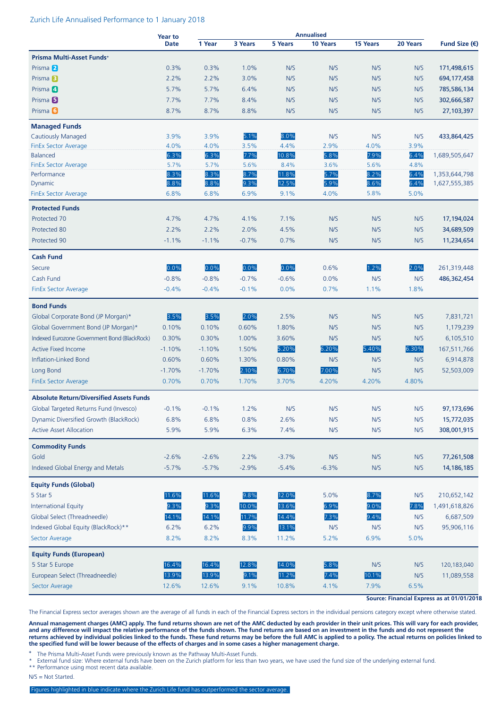#### Zurich Life Annualised Performance to 1 January 2018

|                                                 | <b>Year to</b> |          |         | <b>Annualised</b> |          |          |          |                        |
|-------------------------------------------------|----------------|----------|---------|-------------------|----------|----------|----------|------------------------|
|                                                 | <b>Date</b>    | 1 Year   | 3 Years | 5 Years           | 10 Years | 15 Years | 20 Years | Fund Size $(\epsilon)$ |
| Prisma Multi-Asset Funds+                       |                |          |         |                   |          |          |          |                        |
| Prisma <sup>2</sup>                             | 0.3%           | 0.3%     | 1.0%    | N/S               | N/S      | N/S      | N/S      | 171,498,615            |
| Prisma <sup>3</sup>                             | 2.2%           | 2.2%     | 3.0%    | N/S               | N/S      | N/S      | N/S      | 694, 177, 458          |
| Prisma <sup>4</sup>                             | 5.7%           | 5.7%     | 6.4%    | N/S               | N/S      | N/S      | N/S      | 785,586,134            |
| Prisma <sup>5</sup>                             | 7.7%           | 7.7%     | 8.4%    | N/S               | N/S      | N/S      | N/S      | 302,666,587            |
| Prisma <sup>6</sup>                             | 8.7%           | 8.7%     | 8.8%    | N/S               | N/S      | N/S      | N/S      | 27,103,397             |
| <b>Managed Funds</b>                            |                |          |         |                   |          |          |          |                        |
| <b>Cautiously Managed</b>                       | 3.9%           | 3.9%     | 5.1%    | 8.0%              | N/S      | N/S      | N/S      | 433,864,425            |
| <b>FinEx Sector Average</b>                     | 4.0%           | 4.0%     | 3.5%    | 4.4%              | 2.9%     | 4.0%     | 3.9%     |                        |
| <b>Balanced</b>                                 | 6.3%           | 6.3%     | 7.7%    | 10.8%             | 5.8%     | 7.9%     | 6.4%     | 1,689,505,647          |
| <b>FinEx Sector Average</b>                     | 5.7%           | 5.7%     | 5.6%    | 8.4%              | 3.6%     | 5.6%     | 4.8%     |                        |
| Performance                                     | 8.3%           | 8.3%     | 8.7%    | 11.8%             | 5.7%     | 8.2%     | 6.4%     | 1,353,644,798          |
| Dynamic                                         | 8.8%           | 8.8%     | 9.3%    | 12.5%             | 5.9%     | 8.6%     | 6.4%     | 1,627,555,385          |
| <b>FinEx Sector Average</b>                     | 6.8%           | 6.8%     | 6.9%    | 9.1%              | 4.0%     | 5.8%     | 5.0%     |                        |
| <b>Protected Funds</b>                          |                |          |         |                   |          |          |          |                        |
| Protected 70                                    | 4.7%           | 4.7%     | 4.1%    | 7.1%              | N/S      | N/S      | N/S      | 17,194,024             |
| Protected 80                                    | 2.2%           | 2.2%     | 2.0%    | 4.5%              | N/S      | N/S      | N/S      | 34,689,509             |
| Protected 90                                    | $-1.1%$        | $-1.1%$  | $-0.7%$ | 0.7%              | N/S      | N/S      | N/S      | 11,234,654             |
| <b>Cash Fund</b>                                |                |          |         |                   |          |          |          |                        |
| Secure                                          | 0.0%           | 0.0%     | 0.0%    | 0.0%              | 0.6%     | 1.2%     | 2.0%     | 261,319,448            |
| Cash Fund                                       | $-0.8%$        | $-0.8%$  | $-0.7%$ | $-0.6%$           | 0.0%     | N/S      | N/S      | 486,362,454            |
| FinEx Sector Average                            | $-0.4%$        | $-0.4%$  | $-0.1%$ | 0.0%              | 0.7%     | 1.1%     | 1.8%     |                        |
| <b>Bond Funds</b>                               |                |          |         |                   |          |          |          |                        |
| Global Corporate Bond (JP Morgan)*              | 3.5%           | 3.5%     | 2.0%    | 2.5%              | N/S      | N/S      | N/S      | 7,831,721              |
|                                                 | 0.10%          | 0.10%    | 0.60%   | 1.80%             | N/S      | N/S      | N/S      |                        |
| Global Government Bond (JP Morgan)*             |                |          |         |                   |          | N/S      |          | 1,179,239              |
| Indexed Eurozone Government Bond (BlackRock)    | 0.30%          | 0.30%    | 1.00%   | 3.60%             | N/S      |          | N/S      | 6,105,510              |
| <b>Active Fixed Income</b>                      | $-1.10%$       | $-1.10%$ | 1.50%   | 5.20%             | 6.20%    | 5.40%    | 6.30%    | 167,511,766            |
| Inflation-Linked Bond                           | 0.60%          | 0.60%    | 1.30%   | 0.80%             | N/S      | N/S      | N/S      | 6,914,878              |
| Long Bond                                       | $-1.70%$       | $-1.70%$ | 2.10%   | 6.70%             | 7.00%    | N/S      | N/S      | 52,503,009             |
| <b>FinEx Sector Average</b>                     | 0.70%          | 0.70%    | 1.70%   | 3.70%             | 4.20%    | 4.20%    | 4.80%    |                        |
| <b>Absolute Return/Diversified Assets Funds</b> |                |          |         |                   |          |          |          |                        |
| Global Targeted Returns Fund (Invesco)          | $-0.1%$        | $-0.1%$  | 1.2%    | N/S               | N/S      | N/S      | N/S      | 97,173,696             |
| Dynamic Diversified Growth (BlackRock)          | 6.8%           | 6.8%     | 0.8%    | 2.6%              | N/S      | N/S      | N/S      | 15,772,035             |
| <b>Active Asset Allocation</b>                  | 5.9%           | 5.9%     | 6.3%    | 7.4%              | N/S      | N/S      | N/S      | 308,001,915            |
| <b>Commodity Funds</b>                          |                |          |         |                   |          |          |          |                        |
| Gold                                            | $-2.6%$        | $-2.6%$  | 2.2%    | $-3.7%$           | N/S      | N/S      | N/S      | 77,261,508             |
| Indexed Global Energy and Metals                | $-5.7%$        | $-5.7%$  | $-2.9%$ | $-5.4%$           | $-6.3%$  | N/S      | N/S      | 14, 186, 185           |
| <b>Equity Funds (Global)</b>                    |                |          |         |                   |          |          |          |                        |
| 5 Star 5                                        | 11.6%          | 11.6%    | 9.8%    | 12.0%             | 5.0%     | 8.7%     | N/S      | 210,652,142            |
| <b>International Equity</b>                     | 9.3%           | 9.3%     | 10.0%   | 13.6%             | 6.9%     | 9.0%     | 7.8%     | 1,491,618,826          |
| Global Select (Threadneedle)                    | 14.1%          | 14.1%    | 11.7%   | 14.4%             | 7.3%     | 9.4%     | N/S      | 6,687,509              |
| Indexed Global Equity (BlackRock)**             | 6.2%           | 6.2%     | 9.9%    | 13.1%             | N/S      | N/S      | N/S      | 95,906,116             |
| Sector Average                                  | 8.2%           | 8.2%     | 8.3%    | 11.2%             | 5.2%     | 6.9%     | 5.0%     |                        |
| <b>Equity Funds (European)</b>                  |                |          |         |                   |          |          |          |                        |
| 5 Star 5 Europe                                 | 16.4%          | 16.4%    | 12.8%   | 14.0%             | 5.8%     | N/S      | N/S      | 120,183,040            |
| European Select (Threadneedle)                  | 13.9%          | 13.9%    | 9.1%    | 11.2%             | 7.4%     | 10.1%    | N/S      | 11,089,558             |
| Sector Average                                  | 12.6%          | 12.6%    | 9.1%    | 10.8%             | 4.1%     | 7.9%     | 6.5%     |                        |
|                                                 |                |          |         |                   |          |          |          |                        |

**Source: Financial Express as at 01/01/2018**

The Financial Express sector averages shown are the average of all funds in each of the Financial Express sectors in the individual pensions category except where otherwise stated.

**Annual management charges (AMC) apply. The fund returns shown are net of the AMC deducted by each provider in their unit prices. This will vary for each provider, and any difference will impact the relative performance of the funds shown. The fund returns are based on an investment in the funds and do not represent the returns achieved by individual policies linked to the funds. These fund returns may be before the full AMC is applied to a policy. The actual returns on policies linked to the specified fund will be lower because of the effects of charges and in some cases a higher management charge.**

**<sup>+</sup>** The Prisma Multi-Asset Funds were previously known as the Pathway Multi-Asset Funds.

External fund size: Where external funds have been on the Zurich platform for less than two years, we have used the fund size of the underlying external fund.

\*\* Performance using most recent data available.

```
N/S = Not Started.
```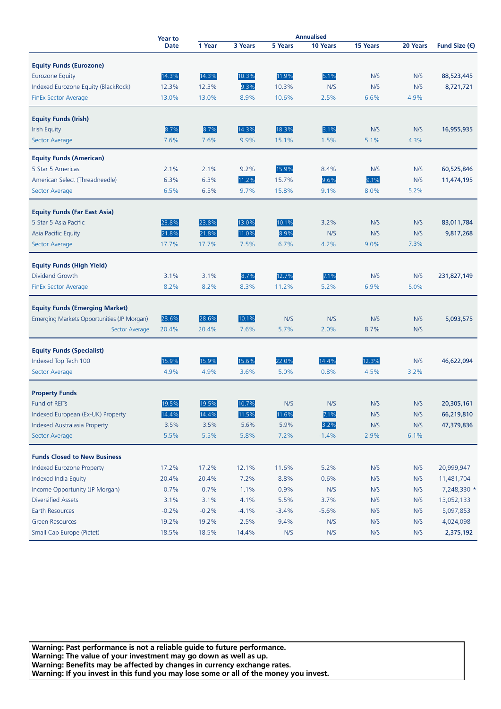|                                               | <b>Year to</b> | <b>Annualised</b> |         |         |          |          |          |                        |
|-----------------------------------------------|----------------|-------------------|---------|---------|----------|----------|----------|------------------------|
|                                               | <b>Date</b>    | 1 Year            | 3 Years | 5 Years | 10 Years | 15 Years | 20 Years | Fund Size $(\epsilon)$ |
| <b>Equity Funds (Eurozone)</b>                |                |                   |         |         |          |          |          |                        |
| <b>Eurozone Equity</b>                        | 14.3%          | 14.3%             | 10.3%   | 11.9%   | 5.1%     | N/S      | N/S      | 88,523,445             |
| Indexed Eurozone Equity (BlackRock)           | 12.3%          | 12.3%             | 9.3%    | 10.3%   | N/S      | N/S      | N/S      | 8,721,721              |
| FinEx Sector Average                          | 13.0%          | 13.0%             | 8.9%    | 10.6%   | 2.5%     | 6.6%     | 4.9%     |                        |
|                                               |                |                   |         |         |          |          |          |                        |
| <b>Equity Funds (Irish)</b>                   |                |                   |         |         |          |          |          |                        |
| <b>Irish Equity</b>                           | 8.7%           | 8.7%              | 14.3%   | 18.3%   | 3.1%     | N/S      | N/S      | 16,955,935             |
| Sector Average                                | 7.6%           | 7.6%              | 9.9%    | 15.1%   | 1.5%     | 5.1%     | 4.3%     |                        |
| <b>Equity Funds (American)</b>                |                |                   |         |         |          |          |          |                        |
| 5 Star 5 Americas                             | 2.1%           | 2.1%              | 9.2%    | 15.9%   | 8.4%     | N/S      | N/S      | 60,525,846             |
| American Select (Threadneedle)                | 6.3%           | 6.3%              | 11.2%   | 15.7%   | 9.6%     | 9.1%     | N/S      | 11,474,195             |
| Sector Average                                | 6.5%           | 6.5%              | 9.7%    | 15.8%   | 9.1%     | 8.0%     | 5.2%     |                        |
|                                               |                |                   |         |         |          |          |          |                        |
| <b>Equity Funds (Far East Asia)</b>           |                |                   |         |         |          |          |          |                        |
| 5 Star 5 Asia Pacific                         | 23.8%          | 23.8%             | 13.0%   | 10.1%   | 3.2%     | N/S      | N/S      | 83,011,784             |
| Asia Pacific Equity                           | 21.8%          | 21.8%             | 11.0%   | 8.9%    | N/S      | N/S      | N/S      | 9,817,268              |
| Sector Average                                | 17.7%          | 17.7%             | 7.5%    | 6.7%    | 4.2%     | 9.0%     | 7.3%     |                        |
|                                               |                |                   |         |         |          |          |          |                        |
| <b>Equity Funds (High Yield)</b>              |                |                   |         |         |          |          |          |                        |
| Dividend Growth                               | 3.1%           | 3.1%              | 8.7%    | 12.7%   | 7.1%     | N/S      | N/S      | 231,827,149            |
| FinEx Sector Average                          | 8.2%           | 8.2%              | 8.3%    | 11.2%   | 5.2%     | 6.9%     | 5.0%     |                        |
| <b>Equity Funds (Emerging Market)</b>         |                |                   |         |         |          |          |          |                        |
| Emerging Markets Opportunities (JP Morgan)    | 28.6%          | 28.6%             | 10.1%   | N/S     | N/S      | N/S      | N/S      | 5,093,575              |
| Sector Average                                | 20.4%          | 20.4%             | 7.6%    | 5.7%    | 2.0%     | 8.7%     | N/S      |                        |
|                                               |                |                   |         |         |          |          |          |                        |
| <b>Equity Funds (Specialist)</b>              |                |                   |         |         |          |          |          |                        |
| Indexed Top Tech 100                          | 15.9%          | 15.9%             | 15.6%   | 22.0%   | 14.4%    | 12.3%    | N/S      | 46,622,094             |
| Sector Average                                | 4.9%           | 4.9%              | 3.6%    | 5.0%    | 0.8%     | 4.5%     | 3.2%     |                        |
|                                               |                |                   |         |         |          |          |          |                        |
| <b>Property Funds</b><br><b>Fund of REITs</b> | 19.5%          | 19.5%             | 10.7%   | N/S     | N/S      | N/S      | N/S      |                        |
| Indexed European (Ex-UK) Property             |                |                   |         |         |          |          | N/S      | 20,305,161             |
|                                               | 14.4%          | 14.4%             | 11.5%   | 11.6%   | 7.1%     | N/S      |          | 66,219,810             |
| Indexed Australasia Property                  | 3.5%           | 3.5%              | 5.6%    | 5.9%    | 3.2%     | N/S      | N/S      | 47,379,836             |
| Sector Average                                | 5.5%           | 5.5%              | 5.8%    | 7.2%    | $-1.4%$  | 2.9%     | 6.1%     |                        |
| <b>Funds Closed to New Business</b>           |                |                   |         |         |          |          |          |                        |
| Indexed Eurozone Property                     | 17.2%          | 17.2%             | 12.1%   | 11.6%   | 5.2%     | N/S      | N/S      | 20,999,947             |
| Indexed India Equity                          | 20.4%          | 20.4%             | 7.2%    | 8.8%    | 0.6%     | N/S      | N/S      | 11,481,704             |
| Income Opportunity (JP Morgan)                | 0.7%           | 0.7%              | 1.1%    | 0.9%    | N/S      | N/S      | N/S      | 7,248,330 *            |
| <b>Diversified Assets</b>                     | 3.1%           | 3.1%              | 4.1%    | 5.5%    | 3.7%     | N/S      | N/S      | 13,052,133             |
| Earth Resources                               | $-0.2%$        | $-0.2%$           | $-4.1%$ | $-3.4%$ | $-5.6%$  | N/S      | N/S      | 5,097,853              |
| <b>Green Resources</b>                        | 19.2%          | 19.2%             | 2.5%    | 9.4%    | N/S      | N/S      | N/S      | 4,024,098              |
| Small Cap Europe (Pictet)                     | 18.5%          | 18.5%             | 14.4%   | N/S     | N/S      | N/S      | N/S      | 2,375,192              |

**Warning: Past performance is not a reliable guide to future performance. Warning: The value of your investment may go down as well as up. Warning: Benefits may be affected by changes in currency exchange rates. Warning: If you invest in this fund you may lose some or all of the money you invest.**